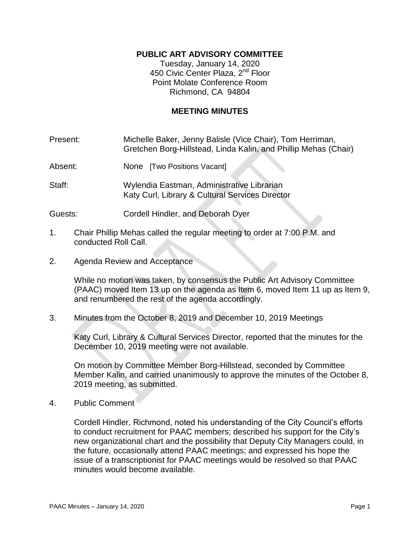## **PUBLIC ART ADVISORY COMMITTEE**

Tuesday, January 14, 2020 450 Civic Center Plaza, 2<sup>nd</sup> Floor Point Molate Conference Room Richmond, CA 94804

### **MEETING MINUTES**

| Present: | Michelle Baker, Jenny Balisle (Vice Chair), Tom Herriman,       |
|----------|-----------------------------------------------------------------|
|          | Gretchen Borg-Hillstead, Linda Kalin, and Phillip Mehas (Chair) |

Absent: None [Two Positions Vacant]

Staff: Wylendia Eastman, Administrative Librarian Katy Curl, Library & Cultural Services Director

Guests: Cordell Hindler, and Deborah Dyer

- 1. Chair Phillip Mehas called the regular meeting to order at 7:00 P.M. and conducted Roll Call.
- 2. Agenda Review and Acceptance

While no motion was taken, by consensus the Public Art Advisory Committee (PAAC) moved Item 13 up on the agenda as Item 6, moved Item 11 up as Item 9, and renumbered the rest of the agenda accordingly.

3. Minutes from the October 8, 2019 and December 10, 2019 Meetings

Katy Curl, Library & Cultural Services Director, reported that the minutes for the December 10, 2019 meeting were not available.

On motion by Committee Member Borg-Hillstead, seconded by Committee Member Kalin, and carried unanimously to approve the minutes of the October 8, 2019 meeting, as submitted.

4. Public Comment

Cordell Hindler, Richmond, noted his understanding of the City Council's efforts to conduct recruitment for PAAC members; described his support for the City's new organizational chart and the possibility that Deputy City Managers could, in the future, occasionally attend PAAC meetings; and expressed his hope the issue of a transcriptionist for PAAC meetings would be resolved so that PAAC minutes would become available.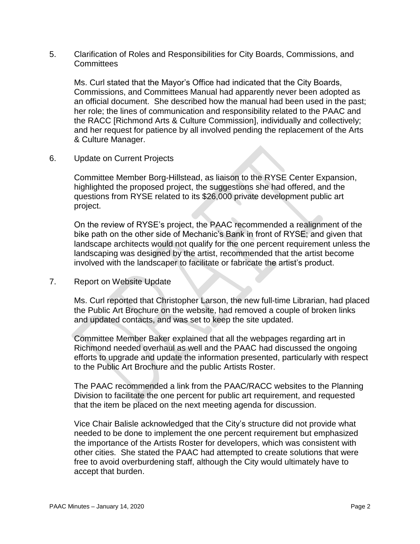5. Clarification of Roles and Responsibilities for City Boards, Commissions, and Committees

Ms. Curl stated that the Mayor's Office had indicated that the City Boards, Commissions, and Committees Manual had apparently never been adopted as an official document. She described how the manual had been used in the past; her role; the lines of communication and responsibility related to the PAAC and the RACC [Richmond Arts & Culture Commission], individually and collectively; and her request for patience by all involved pending the replacement of the Arts & Culture Manager.

6. Update on Current Projects

Committee Member Borg-Hillstead, as liaison to the RYSE Center Expansion, highlighted the proposed project, the suggestions she had offered, and the questions from RYSE related to its \$26,000 private development public art project.

On the review of RYSE's project, the PAAC recommended a realignment of the bike path on the other side of Mechanic's Bank in front of RYSE; and given that landscape architects would not qualify for the one percent requirement unless the landscaping was designed by the artist, recommended that the artist become involved with the landscaper to facilitate or fabricate the artist's product.

7. Report on Website Update

Ms. Curl reported that Christopher Larson, the new full-time Librarian, had placed the Public Art Brochure on the website, had removed a couple of broken links and updated contacts, and was set to keep the site updated.

Committee Member Baker explained that all the webpages regarding art in Richmond needed overhaul as well and the PAAC had discussed the ongoing efforts to upgrade and update the information presented, particularly with respect to the Public Art Brochure and the public Artists Roster.

The PAAC recommended a link from the PAAC/RACC websites to the Planning Division to facilitate the one percent for public art requirement, and requested that the item be placed on the next meeting agenda for discussion.

Vice Chair Balisle acknowledged that the City's structure did not provide what needed to be done to implement the one percent requirement but emphasized the importance of the Artists Roster for developers, which was consistent with other cities. She stated the PAAC had attempted to create solutions that were free to avoid overburdening staff, although the City would ultimately have to accept that burden.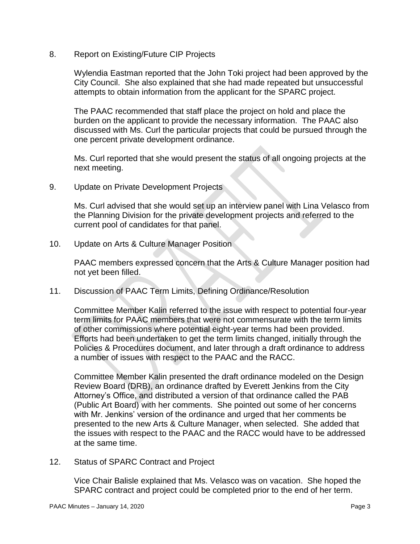8. Report on Existing/Future CIP Projects

Wylendia Eastman reported that the John Toki project had been approved by the City Council. She also explained that she had made repeated but unsuccessful attempts to obtain information from the applicant for the SPARC project.

The PAAC recommended that staff place the project on hold and place the burden on the applicant to provide the necessary information. The PAAC also discussed with Ms. Curl the particular projects that could be pursued through the one percent private development ordinance.

Ms. Curl reported that she would present the status of all ongoing projects at the next meeting.

9. Update on Private Development Projects

Ms. Curl advised that she would set up an interview panel with Lina Velasco from the Planning Division for the private development projects and referred to the current pool of candidates for that panel.

10. Update on Arts & Culture Manager Position

PAAC members expressed concern that the Arts & Culture Manager position had not yet been filled.

11. Discussion of PAAC Term Limits, Defining Ordinance/Resolution

Committee Member Kalin referred to the issue with respect to potential four-year term limits for PAAC members that were not commensurate with the term limits of other commissions where potential eight-year terms had been provided. Efforts had been undertaken to get the term limits changed, initially through the Policies & Procedures document, and later through a draft ordinance to address a number of issues with respect to the PAAC and the RACC.

Committee Member Kalin presented the draft ordinance modeled on the Design Review Board (DRB), an ordinance drafted by Everett Jenkins from the City Attorney's Office, and distributed a version of that ordinance called the PAB (Public Art Board) with her comments. She pointed out some of her concerns with Mr. Jenkins' version of the ordinance and urged that her comments be presented to the new Arts & Culture Manager, when selected. She added that the issues with respect to the PAAC and the RACC would have to be addressed at the same time.

12. Status of SPARC Contract and Project

Vice Chair Balisle explained that Ms. Velasco was on vacation. She hoped the SPARC contract and project could be completed prior to the end of her term.